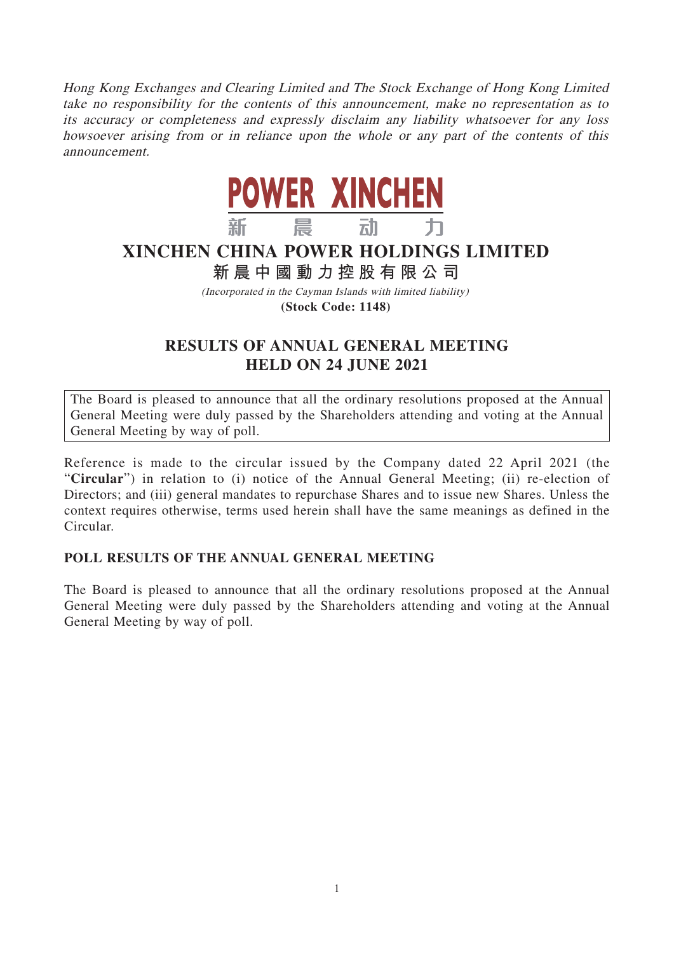Hong Kong Exchanges and Clearing Limited and The Stock Exchange of Hong Kong Limited take no responsibility for the contents of this announcement, make no representation as to its accuracy or completeness and expressly disclaim any liability whatsoever for any loss howsoever arising from or in reliance upon the whole or any part of the contents of this announcement.



## **XINCHEN CHINA POWER HOLDINGS LIMITED**

## **新晨中國動力控股有限公 司**

(Incorporated in the Cayman Islands with limited liability) **(Stock Code: 1148)**

## **RESULTS OF ANNUAL GENERAL MEETING HELD ON 24 JUNE 2021**

The Board is pleased to announce that all the ordinary resolutions proposed at the Annual General Meeting were duly passed by the Shareholders attending and voting at the Annual General Meeting by way of poll.

Reference is made to the circular issued by the Company dated 22 April 2021 (the "**Circular**") in relation to (i) notice of the Annual General Meeting; (ii) re-election of Directors; and (iii) general mandates to repurchase Shares and to issue new Shares. Unless the context requires otherwise, terms used herein shall have the same meanings as defined in the Circular.

## **POLL RESULTS OF THE ANNUAL GENERAL MEETING**

The Board is pleased to announce that all the ordinary resolutions proposed at the Annual General Meeting were duly passed by the Shareholders attending and voting at the Annual General Meeting by way of poll.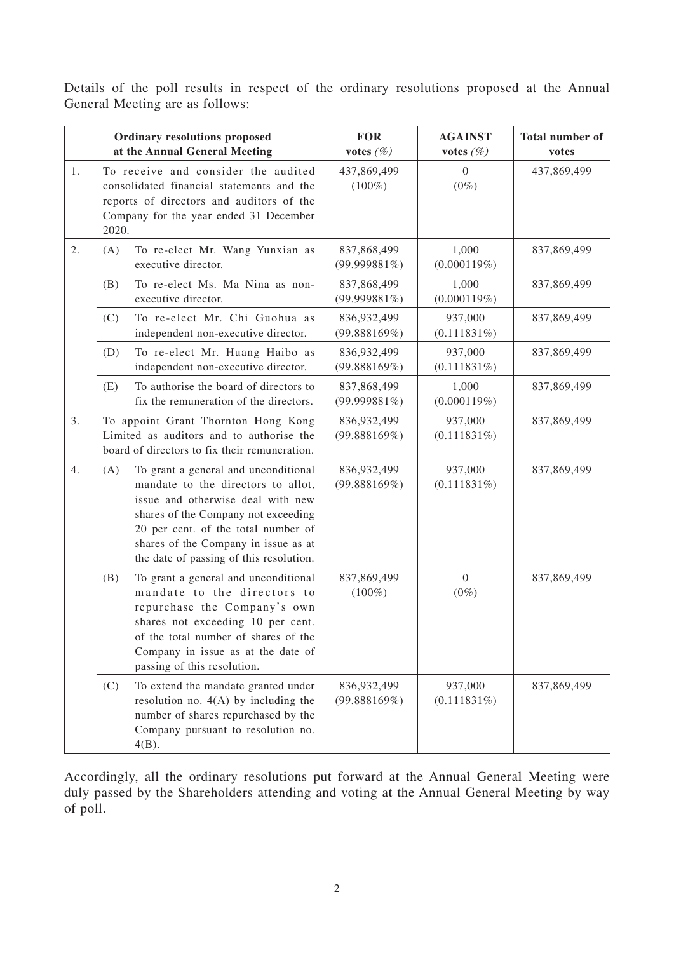Details of the poll results in respect of the ordinary resolutions proposed at the Annual General Meeting are as follows:

| <b>Ordinary resolutions proposed</b><br>at the Annual General Meeting |                                                                                                                                  |                                                                                                                                                                                                                                                                                  | <b>FOR</b><br>votes $(\%)$     | <b>AGAINST</b><br>votes $(\%)$ | Total number of<br>votes |
|-----------------------------------------------------------------------|----------------------------------------------------------------------------------------------------------------------------------|----------------------------------------------------------------------------------------------------------------------------------------------------------------------------------------------------------------------------------------------------------------------------------|--------------------------------|--------------------------------|--------------------------|
| 1.                                                                    | 2020.                                                                                                                            | To receive and consider the audited<br>consolidated financial statements and the<br>reports of directors and auditors of the<br>Company for the year ended 31 December                                                                                                           | 437,869,499<br>$(100\%)$       | 0<br>$(0\%)$                   | 437,869,499              |
| 2.                                                                    | (A)                                                                                                                              | To re-elect Mr. Wang Yunxian as<br>executive director.                                                                                                                                                                                                                           | 837,868,499<br>$(99.999881\%)$ | 1,000<br>(0.000119%)           | 837,869,499              |
|                                                                       | (B)                                                                                                                              | To re-elect Ms. Ma Nina as non-<br>executive director.                                                                                                                                                                                                                           | 837,868,499<br>(99.999881%)    | 1,000<br>(0.000119%)           | 837,869,499              |
|                                                                       | (C)                                                                                                                              | To re-elect Mr. Chi Guohua as<br>independent non-executive director.                                                                                                                                                                                                             | 836,932,499<br>(99.888169%)    | 937,000<br>(0.111831%)         | 837,869,499              |
|                                                                       | (D)                                                                                                                              | To re-elect Mr. Huang Haibo as<br>independent non-executive director.                                                                                                                                                                                                            | 836,932,499<br>(99.888169%)    | 937,000<br>$(0.111831\%)$      | 837,869,499              |
|                                                                       | (E)                                                                                                                              | To authorise the board of directors to<br>fix the remuneration of the directors.                                                                                                                                                                                                 | 837,868,499<br>$(99.999881\%)$ | 1,000<br>(0.000119%)           | 837,869,499              |
| 3.                                                                    | To appoint Grant Thornton Hong Kong<br>Limited as auditors and to authorise the<br>board of directors to fix their remuneration. |                                                                                                                                                                                                                                                                                  | 836,932,499<br>(99.888169%)    | 937,000<br>$(0.111831\%)$      | 837,869,499              |
| 4.                                                                    | (A)                                                                                                                              | To grant a general and unconditional<br>mandate to the directors to allot,<br>issue and otherwise deal with new<br>shares of the Company not exceeding<br>20 per cent. of the total number of<br>shares of the Company in issue as at<br>the date of passing of this resolution. | 836,932,499<br>(99.888169%)    | 937,000<br>$(0.111831\%)$      | 837,869,499              |
|                                                                       | (B)                                                                                                                              | To grant a general and unconditional<br>mandate to the directors to<br>repurchase the Company's own<br>shares not exceeding 10 per cent.<br>of the total number of shares of the<br>Company in issue as at the date of<br>passing of this resolution.                            | 837,869,499<br>$(100\%)$       | $\boldsymbol{0}$<br>$(0\%)$    | 837,869,499              |
|                                                                       | (C)                                                                                                                              | To extend the mandate granted under<br>resolution no. $4(A)$ by including the<br>number of shares repurchased by the<br>Company pursuant to resolution no.<br>$4(B)$ .                                                                                                           | 836,932,499<br>(99.888169%)    | 937,000<br>$(0.111831\%)$      | 837,869,499              |

Accordingly, all the ordinary resolutions put forward at the Annual General Meeting were duly passed by the Shareholders attending and voting at the Annual General Meeting by way of poll.